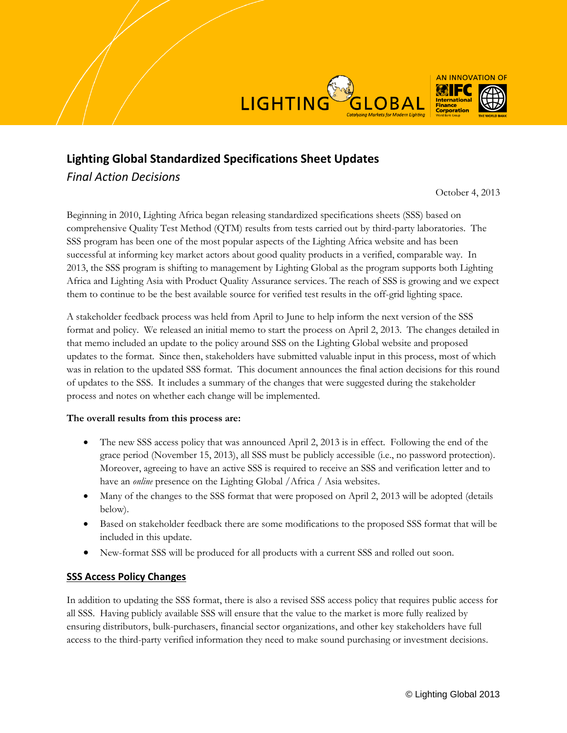



*Final Action Decisions*

October 4, 2013

Beginning in 2010, Lighting Africa began releasing standardized specifications sheets (SSS) based on comprehensive Quality Test Method (QTM) results from tests carried out by third-party laboratories. The SSS program has been one of the most popular aspects of the Lighting Africa website and has been successful at informing key market actors about good quality products in a verified, comparable way. In 2013, the SSS program is shifting to management by Lighting Global as the program supports both Lighting Africa and Lighting Asia with Product Quality Assurance services. The reach of SSS is growing and we expect them to continue to be the best available source for verified test results in the off-grid lighting space.

A stakeholder feedback process was held from April to June to help inform the next version of the SSS format and policy. We released an initial memo to start the process on April 2, 2013. The changes detailed in that memo included an update to the policy around SSS on the Lighting Global website and proposed updates to the format. Since then, stakeholders have submitted valuable input in this process, most of which was in relation to the updated SSS format. This document announces the final action decisions for this round of updates to the SSS. It includes a summary of the changes that were suggested during the stakeholder process and notes on whether each change will be implemented.

## **The overall results from this process are:**

- The new SSS access policy that was announced April 2, 2013 is in effect. Following the end of the grace period (November 15, 2013), all SSS must be publicly accessible (i.e., no password protection). Moreover, agreeing to have an active SSS is required to receive an SSS and verification letter and to have an *online* presence on the Lighting Global /Africa / Asia websites.
- Many of the changes to the SSS format that were proposed on April 2, 2013 will be adopted (details below).
- Based on stakeholder feedback there are some modifications to the proposed SSS format that will be included in this update.
- New-format SSS will be produced for all products with a current SSS and rolled out soon.

## **SSS Access Policy Changes**

In addition to updating the SSS format, there is also a revised SSS access policy that requires public access for all SSS. Having publicly available SSS will ensure that the value to the market is more fully realized by ensuring distributors, bulk-purchasers, financial sector organizations, and other key stakeholders have full access to the third-party verified information they need to make sound purchasing or investment decisions.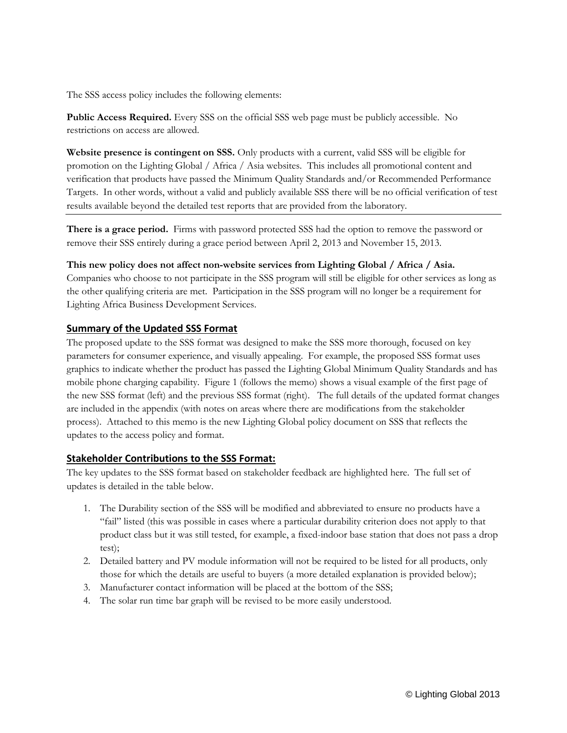The SSS access policy includes the following elements:

**Public Access Required.** Every SSS on the official SSS web page must be publicly accessible. No restrictions on access are allowed.

**Website presence is contingent on SSS.** Only products with a current, valid SSS will be eligible for promotion on the Lighting Global / Africa / Asia websites. This includes all promotional content and verification that products have passed the Minimum Quality Standards and/or Recommended Performance Targets. In other words, without a valid and publicly available SSS there will be no official verification of test results available beyond the detailed test reports that are provided from the laboratory.

**There is a grace period.** Firms with password protected SSS had the option to remove the password or remove their SSS entirely during a grace period between April 2, 2013 and November 15, 2013.

#### **This new policy does not affect non-website services from Lighting Global / Africa / Asia.**

Companies who choose to not participate in the SSS program will still be eligible for other services as long as the other qualifying criteria are met. Participation in the SSS program will no longer be a requirement for Lighting Africa Business Development Services.

## **Summary of the Updated SSS Format**

The proposed update to the SSS format was designed to make the SSS more thorough, focused on key parameters for consumer experience, and visually appealing. For example, the proposed SSS format uses graphics to indicate whether the product has passed the Lighting Global Minimum Quality Standards and has mobile phone charging capability. Figure 1 (follows the memo) shows a visual example of the first page of the new SSS format (left) and the previous SSS format (right). The full details of the updated format changes are included in the appendix (with notes on areas where there are modifications from the stakeholder process). Attached to this memo is the new Lighting Global policy document on SSS that reflects the updates to the access policy and format.

## **Stakeholder Contributions to the SSS Format:**

The key updates to the SSS format based on stakeholder feedback are highlighted here. The full set of updates is detailed in the table below.

- 1. The Durability section of the SSS will be modified and abbreviated to ensure no products have a "fail" listed (this was possible in cases where a particular durability criterion does not apply to that product class but it was still tested, for example, a fixed-indoor base station that does not pass a drop test);
- 2. Detailed battery and PV module information will not be required to be listed for all products, only those for which the details are useful to buyers (a more detailed explanation is provided below);
- 3. Manufacturer contact information will be placed at the bottom of the SSS;
- 4. The solar run time bar graph will be revised to be more easily understood.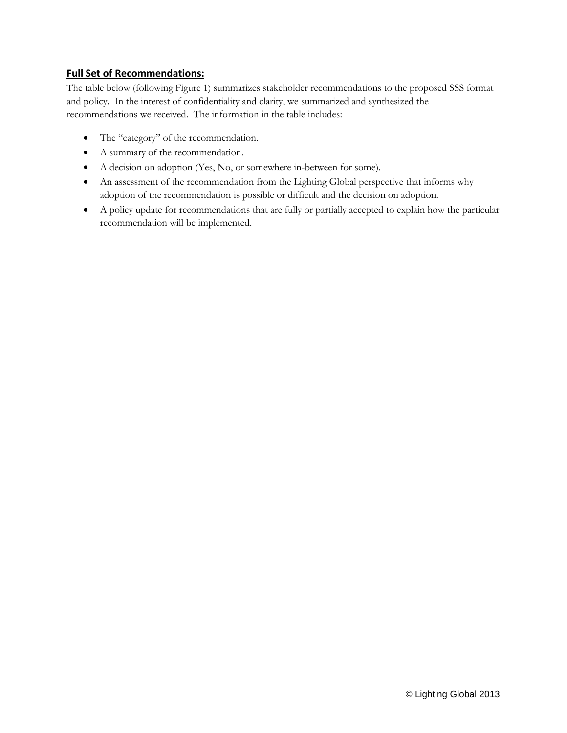## **Full Set of Recommendations:**

The table below (following Figure 1) summarizes stakeholder recommendations to the proposed SSS format and policy. In the interest of confidentiality and clarity, we summarized and synthesized the recommendations we received. The information in the table includes:

- The "category" of the recommendation.
- A summary of the recommendation.
- A decision on adoption (Yes, No, or somewhere in-between for some).
- An assessment of the recommendation from the Lighting Global perspective that informs why adoption of the recommendation is possible or difficult and the decision on adoption.
- A policy update for recommendations that are fully or partially accepted to explain how the particular recommendation will be implemented.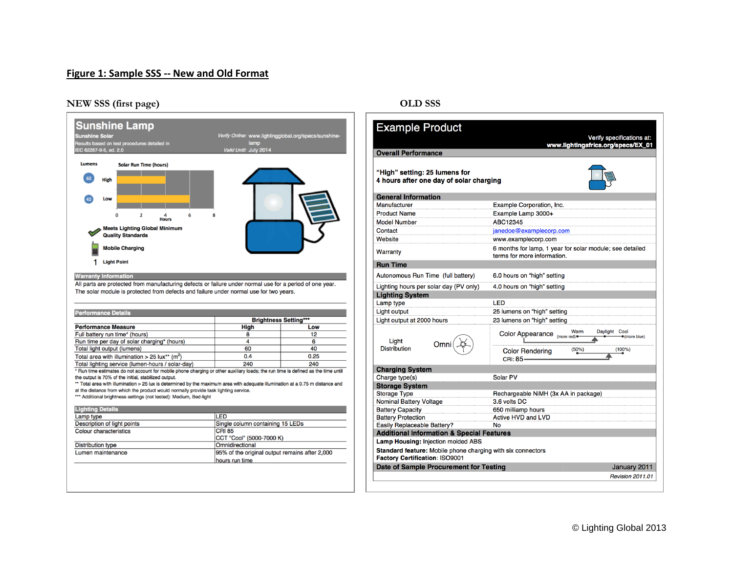## **Figure 1: Sample SSS -- New and Old Format**

#### **NEW SSS (first page) OLD SSS**



| <b>Example Product</b>                                                                            | Verify specifications at:                                                               |  |
|---------------------------------------------------------------------------------------------------|-----------------------------------------------------------------------------------------|--|
| <b>Overall Performance</b>                                                                        | www.lightingafrica.org/specs/EX_01                                                      |  |
|                                                                                                   |                                                                                         |  |
| "High" setting: 25 lumens for<br>4 hours after one day of solar charging                          |                                                                                         |  |
| <b>General Information</b>                                                                        |                                                                                         |  |
| Manufacturer                                                                                      | Example Corporation, Inc.                                                               |  |
| <b>Product Name</b>                                                                               | Example Lamp 3000+                                                                      |  |
| <b>Model Number</b>                                                                               | ABC12345                                                                                |  |
| Contact                                                                                           | janedoe@examplecorp.com                                                                 |  |
| Website                                                                                           | www.examplecorp.com                                                                     |  |
| Warranty                                                                                          | 6 months for lamp, 1 year for solar module; see detailed<br>terms for more information. |  |
| <b>Run Time</b>                                                                                   |                                                                                         |  |
| Autonomous Run Time (full battery)                                                                | 6.0 hours on "high" setting                                                             |  |
| Lighting hours per solar day (PV only)                                                            | 4.0 hours on "high" setting                                                             |  |
| <b>Lighting System</b>                                                                            |                                                                                         |  |
| Lamp type                                                                                         | LED                                                                                     |  |
| Light output                                                                                      | 25 lumens on "high" setting                                                             |  |
| Light output at 2000 hours                                                                        | 23 lumens on "high" setting                                                             |  |
| Light                                                                                             | Warm<br>Daylight Cool<br>Color Appearance (more red)<br>$=$ (more blue)                 |  |
| Omni<br><b>Distribution</b>                                                                       | (50%)<br>(100%)<br><b>Color Rendering</b><br>CRI: 85-                                   |  |
| <b>Charging System</b>                                                                            |                                                                                         |  |
| Charge type(s)                                                                                    | Solar PV                                                                                |  |
| <b>Storage System</b>                                                                             |                                                                                         |  |
| <b>Storage Type</b>                                                                               | Rechargeable NiMH (3x AA in package)                                                    |  |
| <b>Nominal Battery Voltage</b>                                                                    | 3.6 volts DC                                                                            |  |
| <b>Battery Capacity</b>                                                                           | 650 milliamp hours                                                                      |  |
| <b>Battery Protection</b>                                                                         | <b>Active HVD and LVD</b>                                                               |  |
| <b>Easily Replaceable Battery?</b>                                                                | No                                                                                      |  |
| <b>Additional Information &amp; Special Features</b><br><b>Lamp Housing: Injection molded ABS</b> |                                                                                         |  |
|                                                                                                   |                                                                                         |  |
| Standard feature: Mobile phone charging with six connectors<br>Factory Certification: ISO9001     |                                                                                         |  |
| Date of Sample Procurement for Testing<br>January 2011                                            |                                                                                         |  |
|                                                                                                   | <b>Revision 2011.01</b>                                                                 |  |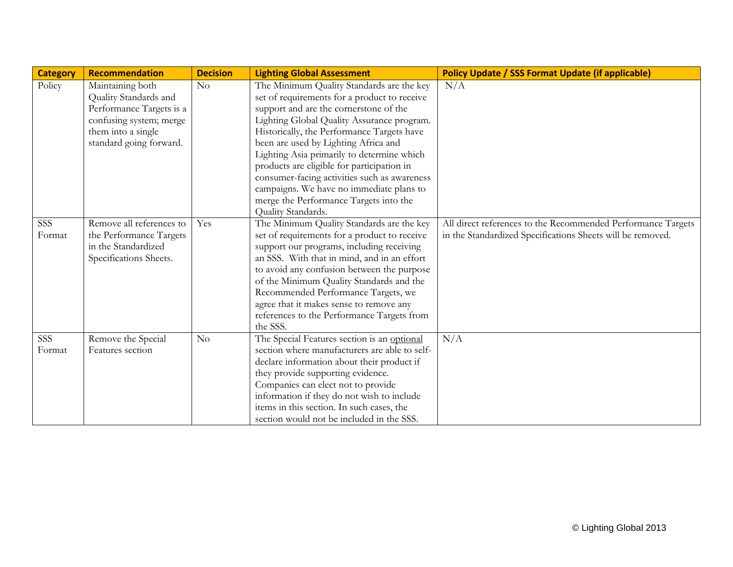| <b>Category</b> | Recommendation           | <b>Decision</b> | <b>Lighting Global Assessment</b>             | <b>Policy Update / SSS Format Update (if applicable)</b>     |
|-----------------|--------------------------|-----------------|-----------------------------------------------|--------------------------------------------------------------|
| Policy          | Maintaining both         | No              | The Minimum Quality Standards are the key     | N/A                                                          |
|                 | Quality Standards and    |                 | set of requirements for a product to receive  |                                                              |
|                 | Performance Targets is a |                 | support and are the cornerstone of the        |                                                              |
|                 | confusing system; merge  |                 | Lighting Global Quality Assurance program.    |                                                              |
|                 | them into a single       |                 | Historically, the Performance Targets have    |                                                              |
|                 | standard going forward.  |                 | been are used by Lighting Africa and          |                                                              |
|                 |                          |                 | Lighting Asia primarily to determine which    |                                                              |
|                 |                          |                 | products are eligible for participation in    |                                                              |
|                 |                          |                 | consumer-facing activities such as awareness  |                                                              |
|                 |                          |                 | campaigns. We have no immediate plans to      |                                                              |
|                 |                          |                 | merge the Performance Targets into the        |                                                              |
|                 |                          |                 | Quality Standards.                            |                                                              |
| SSS             | Remove all references to | Yes             | The Minimum Quality Standards are the key     | All direct references to the Recommended Performance Targets |
| Format          | the Performance Targets  |                 | set of requirements for a product to receive  | in the Standardized Specifications Sheets will be removed.   |
|                 | in the Standardized      |                 | support our programs, including receiving     |                                                              |
|                 | Specifications Sheets.   |                 | an SSS. With that in mind, and in an effort   |                                                              |
|                 |                          |                 | to avoid any confusion between the purpose    |                                                              |
|                 |                          |                 | of the Minimum Quality Standards and the      |                                                              |
|                 |                          |                 | Recommended Performance Targets, we           |                                                              |
|                 |                          |                 | agree that it makes sense to remove any       |                                                              |
|                 |                          |                 | references to the Performance Targets from    |                                                              |
|                 |                          |                 | the SSS.                                      |                                                              |
| SSS             | Remove the Special       | No              | The Special Features section is an optional   | N/A                                                          |
| Format          | Features section         |                 | section where manufacturers are able to self- |                                                              |
|                 |                          |                 | declare information about their product if    |                                                              |
|                 |                          |                 | they provide supporting evidence.             |                                                              |
|                 |                          |                 | Companies can elect not to provide            |                                                              |
|                 |                          |                 | information if they do not wish to include    |                                                              |
|                 |                          |                 | items in this section. In such cases, the     |                                                              |
|                 |                          |                 | section would not be included in the SSS.     |                                                              |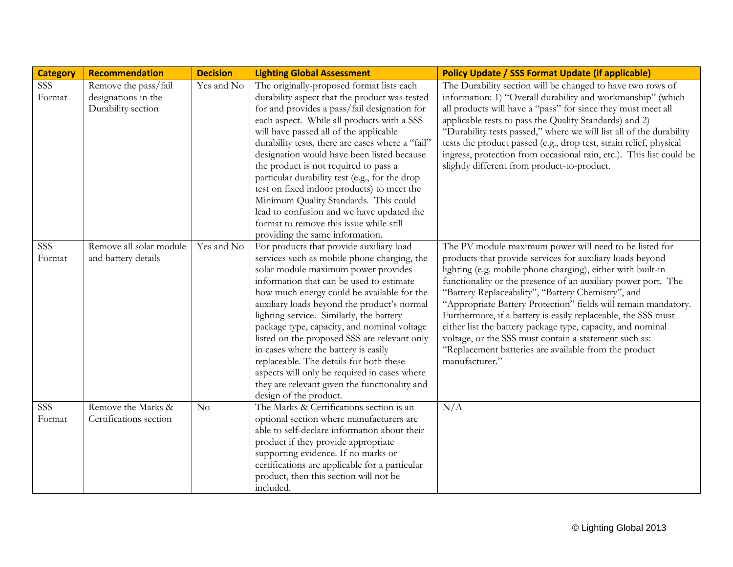| <b>Category</b>      | Recommendation                                                    | <b>Decision</b> | <b>Lighting Global Assessment</b>                                                                                                                                                                                                                                                                                                                                                                                                                                                                                                                                                                                                                 | <b>Policy Update / SSS Format Update (if applicable)</b>                                                                                                                                                                                                                                                                                                                                                                                                                                                                                                                                                                                        |
|----------------------|-------------------------------------------------------------------|-----------------|---------------------------------------------------------------------------------------------------------------------------------------------------------------------------------------------------------------------------------------------------------------------------------------------------------------------------------------------------------------------------------------------------------------------------------------------------------------------------------------------------------------------------------------------------------------------------------------------------------------------------------------------------|-------------------------------------------------------------------------------------------------------------------------------------------------------------------------------------------------------------------------------------------------------------------------------------------------------------------------------------------------------------------------------------------------------------------------------------------------------------------------------------------------------------------------------------------------------------------------------------------------------------------------------------------------|
| <b>SSS</b><br>Format | Remove the pass/fail<br>designations in the<br>Durability section | Yes and No      | The originally-proposed format lists each<br>durability aspect that the product was tested<br>for and provides a pass/fail designation for<br>each aspect. While all products with a SSS<br>will have passed all of the applicable<br>durability tests, there are cases where a "fail"<br>designation would have been listed because<br>the product is not required to pass a<br>particular durability test (e.g., for the drop<br>test on fixed indoor products) to meet the<br>Minimum Quality Standards. This could<br>lead to confusion and we have updated the<br>format to remove this issue while still<br>providing the same information. | The Durability section will be changed to have two rows of<br>information: 1) "Overall durability and workmanship" (which<br>all products will have a "pass" for since they must meet all<br>applicable tests to pass the Quality Standards) and 2)<br>"Durability tests passed," where we will list all of the durability<br>tests the product passed (e.g., drop test, strain relief, physical<br>ingress, protection from occasional rain, etc.). This list could be<br>slightly different from product-to-product.                                                                                                                          |
| SSS<br>Format        | Remove all solar module<br>and battery details                    | Yes and No      | For products that provide auxiliary load<br>services such as mobile phone charging, the<br>solar module maximum power provides<br>information that can be used to estimate<br>how much energy could be available for the<br>auxiliary loads beyond the product's normal<br>lighting service. Similarly, the battery<br>package type, capacity, and nominal voltage<br>listed on the proposed SSS are relevant only<br>in cases where the battery is easily<br>replaceable. The details for both these<br>aspects will only be required in cases where<br>they are relevant given the functionality and<br>design of the product.                  | The PV module maximum power will need to be listed for<br>products that provide services for auxiliary loads beyond<br>lighting (e.g. mobile phone charging), either with built-in<br>functionality or the presence of an auxiliary power port. The<br>"Battery Replaceability", "Battery Chemistry", and<br>"Appropriate Battery Protection" fields will remain mandatory.<br>Furthermore, if a battery is easily replaceable, the SSS must<br>either list the battery package type, capacity, and nominal<br>voltage, or the SSS must contain a statement such as:<br>"Replacement batteries are available from the product<br>manufacturer." |
| SSS<br>Format        | Remove the Marks &<br>Certifications section                      | No              | The Marks & Certifications section is an<br>optional section where manufacturers are<br>able to self-declare information about their<br>product if they provide appropriate<br>supporting evidence. If no marks or<br>certifications are applicable for a particular<br>product, then this section will not be<br>included.                                                                                                                                                                                                                                                                                                                       | N/A                                                                                                                                                                                                                                                                                                                                                                                                                                                                                                                                                                                                                                             |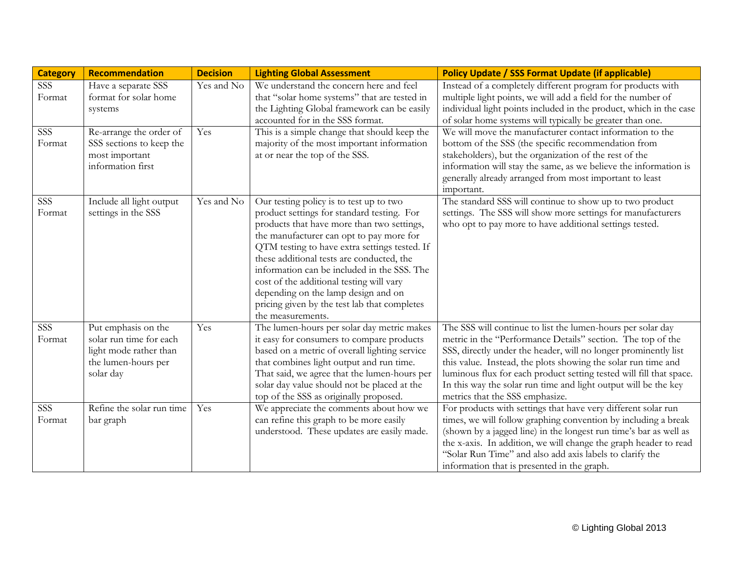| <b>Category</b>            | Recommendation                                                                                               | <b>Decision</b> | <b>Lighting Global Assessment</b>                                                                                                                                                                                                                                                                                                                                                                                                                                                    | <b>Policy Update / SSS Format Update (if applicable)</b>                                                                                                                                                                                                                                                                                                                                                                                    |
|----------------------------|--------------------------------------------------------------------------------------------------------------|-----------------|--------------------------------------------------------------------------------------------------------------------------------------------------------------------------------------------------------------------------------------------------------------------------------------------------------------------------------------------------------------------------------------------------------------------------------------------------------------------------------------|---------------------------------------------------------------------------------------------------------------------------------------------------------------------------------------------------------------------------------------------------------------------------------------------------------------------------------------------------------------------------------------------------------------------------------------------|
| SSS<br>Format              | Have a separate SSS<br>format for solar home<br>systems                                                      | Yes and No      | We understand the concern here and feel<br>that "solar home systems" that are tested in<br>the Lighting Global framework can be easily<br>accounted for in the SSS format.                                                                                                                                                                                                                                                                                                           | Instead of a completely different program for products with<br>multiple light points, we will add a field for the number of<br>individual light points included in the product, which in the case<br>of solar home systems will typically be greater than one.                                                                                                                                                                              |
| $SS\overline{S}$<br>Format | Re-arrange the order of<br>SSS sections to keep the<br>most important<br>information first                   | Yes             | This is a simple change that should keep the<br>majority of the most important information<br>at or near the top of the SSS.                                                                                                                                                                                                                                                                                                                                                         | We will move the manufacturer contact information to the<br>bottom of the SSS (the specific recommendation from<br>stakeholders), but the organization of the rest of the<br>information will stay the same, as we believe the information is<br>generally already arranged from most important to least<br>important.                                                                                                                      |
| SSS<br>Format              | Include all light output<br>settings in the SSS                                                              | Yes and No      | Our testing policy is to test up to two<br>product settings for standard testing. For<br>products that have more than two settings,<br>the manufacturer can opt to pay more for<br>QTM testing to have extra settings tested. If<br>these additional tests are conducted, the<br>information can be included in the SSS. The<br>cost of the additional testing will vary<br>depending on the lamp design and on<br>pricing given by the test lab that completes<br>the measurements. | The standard SSS will continue to show up to two product<br>settings. The SSS will show more settings for manufacturers<br>who opt to pay more to have additional settings tested.                                                                                                                                                                                                                                                          |
| <b>SSS</b><br>Format       | Put emphasis on the<br>solar run time for each<br>light mode rather than<br>the lumen-hours per<br>solar day | Yes             | The lumen-hours per solar day metric makes<br>it easy for consumers to compare products<br>based on a metric of overall lighting service<br>that combines light output and run time.<br>That said, we agree that the lumen-hours per<br>solar day value should not be placed at the<br>top of the SSS as originally proposed.                                                                                                                                                        | The SSS will continue to list the lumen-hours per solar day<br>metric in the "Performance Details" section. The top of the<br>SSS, directly under the header, will no longer prominently list<br>this value. Instead, the plots showing the solar run time and<br>luminous flux for each product setting tested will fill that space.<br>In this way the solar run time and light output will be the key<br>metrics that the SSS emphasize. |
| SSS<br>Format              | Refine the solar run time<br>bar graph                                                                       | Yes             | We appreciate the comments about how we<br>can refine this graph to be more easily<br>understood. These updates are easily made.                                                                                                                                                                                                                                                                                                                                                     | For products with settings that have very different solar run<br>times, we will follow graphing convention by including a break<br>(shown by a jagged line) in the longest run time's bar as well as<br>the x-axis. In addition, we will change the graph header to read<br>"Solar Run Time" and also add axis labels to clarify the<br>information that is presented in the graph.                                                         |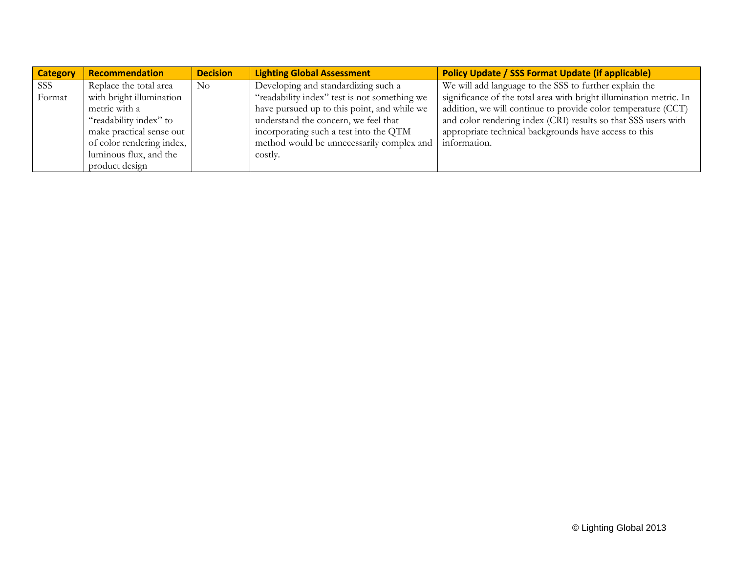| <b>Category</b> | Recommendation            | <b>Decision</b> | <b>Lighting Global Assessment</b>            | <b>Policy Update / SSS Format Update (if applicable)</b>           |
|-----------------|---------------------------|-----------------|----------------------------------------------|--------------------------------------------------------------------|
| SSS             | Replace the total area    | $\rm No$        | Developing and standardizing such a          | We will add language to the SSS to further explain the             |
| Format          | with bright illumination  |                 | "readability index" test is not something we | significance of the total area with bright illumination metric. In |
|                 | metric with a             |                 | have pursued up to this point, and while we  | addition, we will continue to provide color temperature (CCT)      |
|                 | "readability index" to    |                 | understand the concern, we feel that         | and color rendering index (CRI) results so that SSS users with     |
|                 | make practical sense out  |                 | incorporating such a test into the QTM       | appropriate technical backgrounds have access to this              |
|                 | of color rendering index, |                 | method would be unnecessarily complex and    | information.                                                       |
|                 | luminous flux, and the    |                 | costly.                                      |                                                                    |
|                 | product design            |                 |                                              |                                                                    |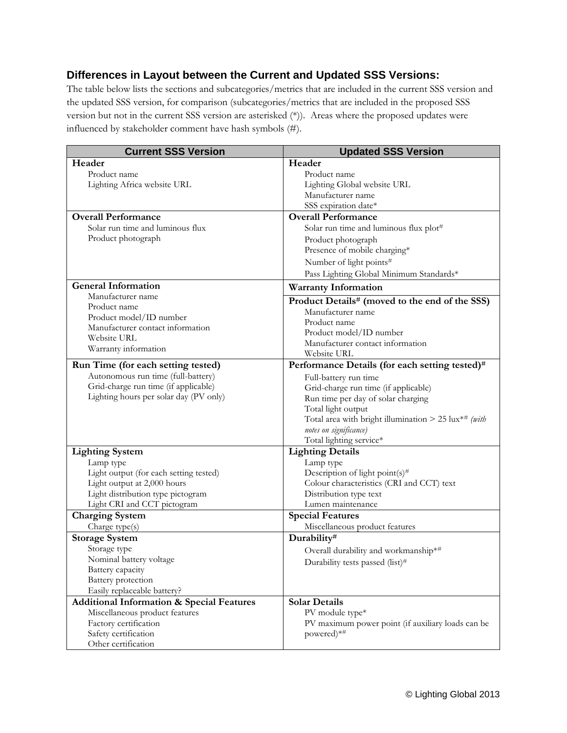# **Differences in Layout between the Current and Updated SSS Versions:**

The table below lists the sections and subcategories/metrics that are included in the current SSS version and the updated SSS version, for comparison (subcategories/metrics that are included in the proposed SSS version but not in the current SSS version are asterisked (\*)). Areas where the proposed updates were influenced by stakeholder comment have hash symbols (#).

| <b>Current SSS Version</b>                           | <b>Updated SSS Version</b>                                  |
|------------------------------------------------------|-------------------------------------------------------------|
| Header                                               | Header                                                      |
| Product name                                         | Product name                                                |
| Lighting Africa website URL                          | Lighting Global website URL                                 |
|                                                      | Manufacturer name                                           |
|                                                      | SSS expiration date*                                        |
| <b>Overall Performance</b>                           | <b>Overall Performance</b>                                  |
| Solar run time and luminous flux                     | Solar run time and luminous flux plot#                      |
| Product photograph                                   | Product photograph                                          |
|                                                      | Presence of mobile charging*                                |
|                                                      | Number of light points#                                     |
|                                                      | Pass Lighting Global Minimum Standards*                     |
| <b>General Information</b>                           | <b>Warranty Information</b>                                 |
| Manufacturer name                                    |                                                             |
| Product name                                         | Product Details# (moved to the end of the SSS)              |
| Product model/ID number                              | Manufacturer name                                           |
| Manufacturer contact information                     | Product name                                                |
| <b>Website URL</b>                                   | Product model/ID number<br>Manufacturer contact information |
| Warranty information                                 | Website URL                                                 |
| Run Time (for each setting tested)                   | Performance Details (for each setting tested)#              |
| Autonomous run time (full-battery)                   |                                                             |
| Grid-charge run time (if applicable)                 | Full-battery run time                                       |
| Lighting hours per solar day (PV only)               | Grid-charge run time (if applicable)                        |
|                                                      | Run time per day of solar charging<br>Total light output    |
|                                                      | Total area with bright illumination > 25 lux*# (with        |
|                                                      | notes on significance)                                      |
|                                                      | Total lighting service*                                     |
| <b>Lighting System</b>                               | <b>Lighting Details</b>                                     |
| Lamp type                                            | Lamp type                                                   |
| Light output (for each setting tested)               | Description of light point(s)#                              |
| Light output at 2,000 hours                          | Colour characteristics (CRI and CCT) text                   |
| Light distribution type pictogram                    | Distribution type text                                      |
| Light CRI and CCT pictogram                          | Lumen maintenance                                           |
| <b>Charging System</b>                               | <b>Special Features</b>                                     |
| Charge type(s)                                       | Miscellaneous product features                              |
| <b>Storage System</b>                                | Durability#                                                 |
| Storage type                                         | Overall durability and workmanship*#                        |
| Nominal battery voltage                              | Durability tests passed (list)#                             |
| Battery capacity                                     |                                                             |
| Battery protection                                   |                                                             |
| Easily replaceable battery?                          |                                                             |
| <b>Additional Information &amp; Special Features</b> | <b>Solar Details</b>                                        |
| Miscellaneous product features                       | PV module type*                                             |
| Factory certification                                | PV maximum power point (if auxiliary loads can be           |
| Safety certification                                 | powered)*#                                                  |
| Other certification                                  |                                                             |